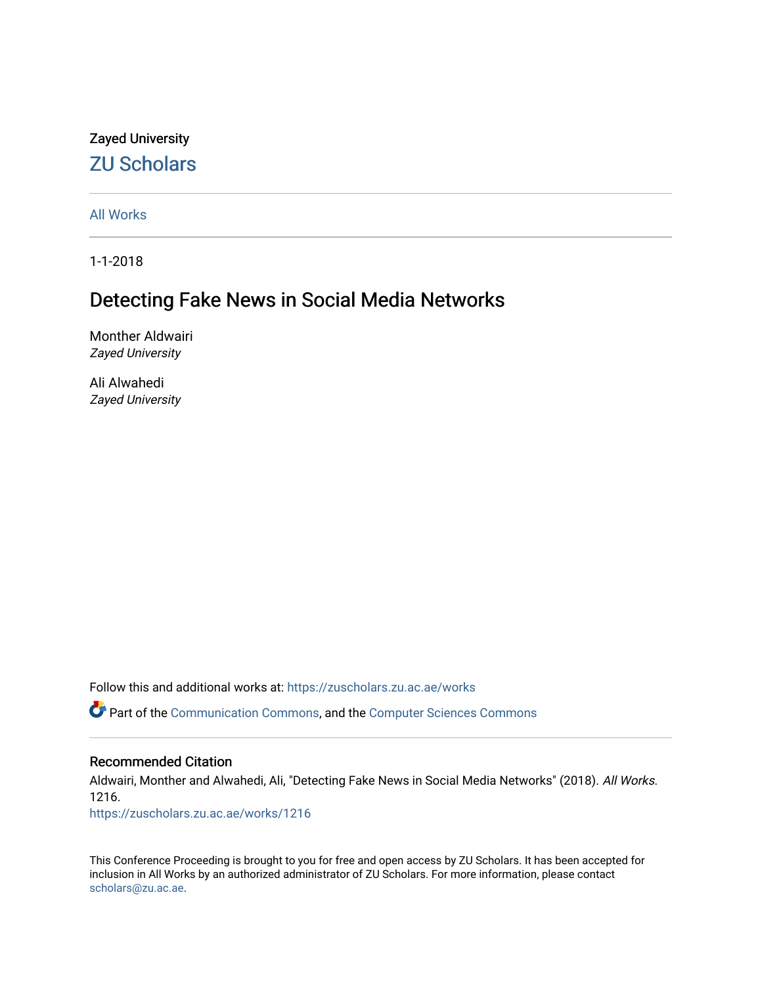## Zayed University [ZU Scholars](https://zuscholars.zu.ac.ae/)

[All Works](https://zuscholars.zu.ac.ae/works)

1-1-2018

# Detecting Fake News in Social Media Networks

Monther Aldwairi Zayed University

Ali Alwahedi Zayed University

Follow this and additional works at: [https://zuscholars.zu.ac.ae/works](https://zuscholars.zu.ac.ae/works?utm_source=zuscholars.zu.ac.ae%2Fworks%2F1216&utm_medium=PDF&utm_campaign=PDFCoverPages)

Part of the [Communication Commons,](http://network.bepress.com/hgg/discipline/325?utm_source=zuscholars.zu.ac.ae%2Fworks%2F1216&utm_medium=PDF&utm_campaign=PDFCoverPages) and the [Computer Sciences Commons](http://network.bepress.com/hgg/discipline/142?utm_source=zuscholars.zu.ac.ae%2Fworks%2F1216&utm_medium=PDF&utm_campaign=PDFCoverPages) 

## Recommended Citation

Aldwairi, Monther and Alwahedi, Ali, "Detecting Fake News in Social Media Networks" (2018). All Works. 1216.

[https://zuscholars.zu.ac.ae/works/1216](https://zuscholars.zu.ac.ae/works/1216?utm_source=zuscholars.zu.ac.ae%2Fworks%2F1216&utm_medium=PDF&utm_campaign=PDFCoverPages)

This Conference Proceeding is brought to you for free and open access by ZU Scholars. It has been accepted for inclusion in All Works by an authorized administrator of ZU Scholars. For more information, please contact [scholars@zu.ac.ae.](mailto:scholars@zu.ac.ae)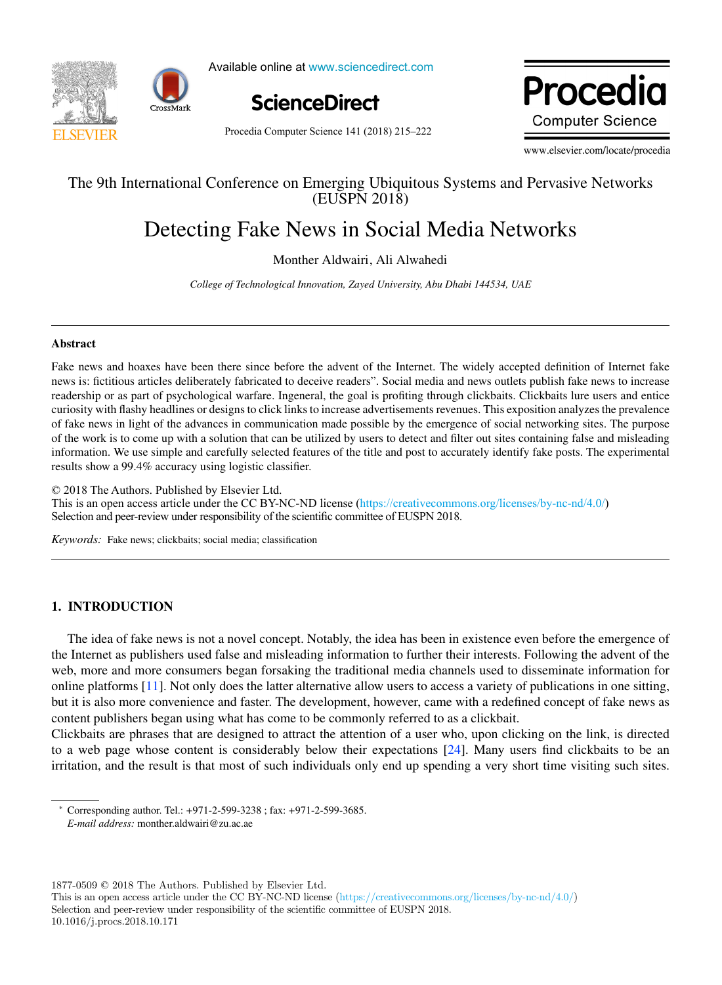

Available online at www.sciencedirect.com Available online at www.sciencedirect.com



Procedia **Computer Science** 

Procedia Computer Science 141 (2018) 215-222

www.elsevier.com/locate/procedia www.elsevier.com/locate/procedia

## The 9th International Conference on Emerging Ubiquitous Systems and Pervasive Networks The 9th International Conference on Emerging Ubiquitous Systems and Pervasive Networks (EUSPN 2018) (EUSPN 2018)

# Detecting Fake News in Social Media Networks Detecting Fake News in Social Media Networks

Monther Aldwairi, Ali Alwahedi Monther Aldwairi, Ali Alwahedi

*College of Technological Innovation, Zayed University, Abu Dhabi 144534, UAE College of Technological Innovation, Zayed University, Abu Dhabi 144534, UAE*

## Abstract Abstract

Fake news and hoaxes have been there since before the advent of the Internet. The widely accepted definition of Internet fake news is: fictitious articles deliberately fabricated to deceive readers". Social media and news outlets publish fake news to increase readership or as part of psychological warfare. Ingeneral, the goal is profiting through clickbaits. Clickbaits lure users and entice curiosity with flashy headlines or designs to click links to increase advertisements revenues. This exposition analyzes the prevalence of fake news in light of the advances in communication made possible by the emergence of social networking sites. The purpose of the work is to come up with a solution that can be utilized by users to detect and filter out sites containing false and misleading information. We use simple and carefully selected features of the title and post to accurately identify fake posts. The experimental results show a 99.4% accuracy using logistic classifier. results show a 99.4% accuracy using logistic classifier.

© 2018 The Authors. Published by Elsevier Ltd.  $\degree$  2018 The Authors. Published by Elsevier Etd.<br>This is an open access article under the CC BY-NC-ND license (<https://creativecommons.org/licenses/by-nc-nd/4.0/>) Selection and peer-review under responsibility of the scientific committee of EUSPN 2018.

*Keywords:* Fake news; clickbaits; social media; classification *Keywords:* Fake news; clickbaits; social media; classification

## 1. INTRODUCTION 1. INTRODUCTION

The idea of fake news is not a novel concept. Notably, the idea has been in existence even before the emergence of the Internet as publishers used false and misleading information to further their interests. Following the advent of the web, more and more consumers began forsaking the traditional media channels used to disseminate information for web, more and more consumers began forsaking the traditional media channels used to disseminate information for online platforms [11]. Not only does the latter alternative allow users to access a variety of publications in one sitting, but it is also more convenience and faster. The development, however, came with a redefined concept of fake news as content publishers began using what has come to be commonly referred to as a clickbait. content publishers began using what has come to be commonly referred to as a clickbait.

Clickbaits are phrases that are designed to attract the attention of a user who, upon clicking on the link, is directed to a web page whose content is considerably below their expectations [24]. Many users find clickbaits to be an to a web page whose content is considerably below their expectations [24]. Many users find clickbaits to be an irritation, and the result is that most of such individuals only end up spending a very short time visiting such sites.

∗ Corresponding author. Tel.: +971-2-599-3238 ; fax: +971-2-599-3685. ∗ Corresponding author. Tel.: +971-2-599-3238 ; fax: +971-2-599-3685.

*E-mail address:* monther.aldwairi@zu.ac.ae *E-mail address:* monther.aldwairi@zu.ac.ae

1877-0509 © 2018 The Authors. Published by Elsevier Ltd. 1877-0509 © 2018 The Authors. Published by Elsevier Ltd. 1877-0509 © 2018 The Authors. Published by Elsevier Ltd.

Selection and peer-review under responsibility of the scientific committee of EUSPN 2018. 10.1016/j.procs.2018.10.171

<sup>1877-0509</sup> C 2018 The Authors. Published by Elsevier Ltd.<br>This is an open access article under the CC BY-NC-ND license (https://creativecommons.org/licenses/by-nc-nd/4.0/)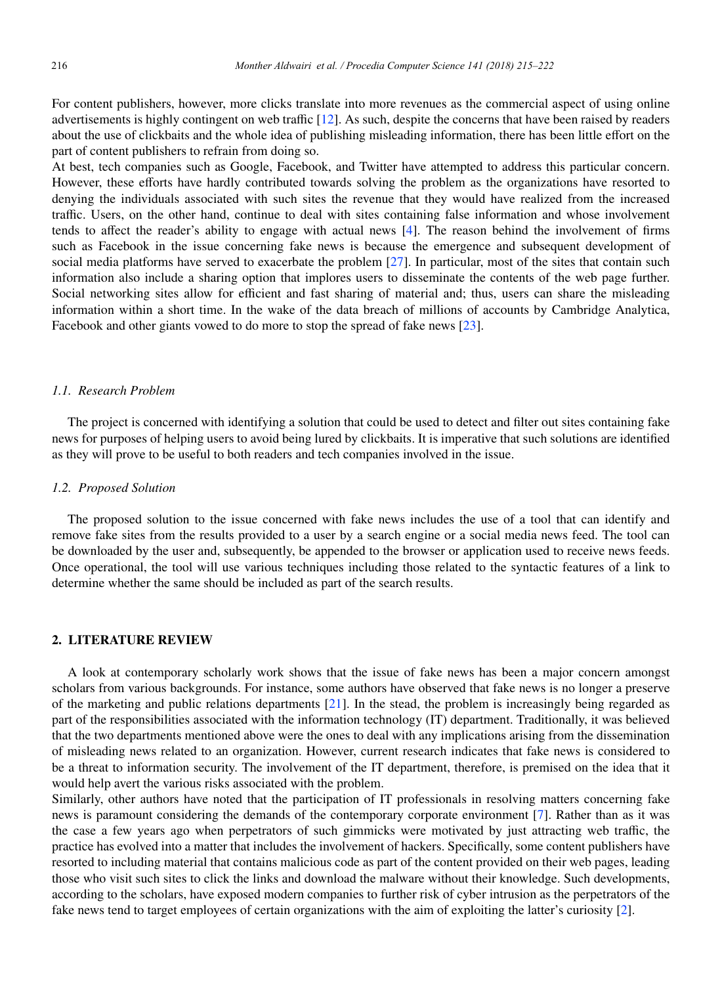For content publishers, however, more clicks translate into more revenues as the commercial aspect of using online advertisements is highly contingent on web traffic [12]. As such, despite the concerns that have been raised by readers about the use of clickbaits and the whole idea of publishing misleading information, there has been little effort on the part of content publishers to refrain from doing so.

At best, tech companies such as Google, Facebook, and Twitter have attempted to address this particular concern. However, these efforts have hardly contributed towards solving the problem as the organizations have resorted to denying the individuals associated with such sites the revenue that they would have realized from the increased traffic. Users, on the other hand, continue to deal with sites containing false information and whose involvement tends to affect the reader's ability to engage with actual news [4]. The reason behind the involvement of firms such as Facebook in the issue concerning fake news is because the emergence and subsequent development of social media platforms have served to exacerbate the problem [27]. In particular, most of the sites that contain such information also include a sharing option that implores users to disseminate the contents of the web page further. Social networking sites allow for efficient and fast sharing of material and; thus, users can share the misleading information within a short time. In the wake of the data breach of millions of accounts by Cambridge Analytica, Facebook and other giants vowed to do more to stop the spread of fake news [23].

#### *1.1. Research Problem*

The project is concerned with identifying a solution that could be used to detect and filter out sites containing fake news for purposes of helping users to avoid being lured by clickbaits. It is imperative that such solutions are identified as they will prove to be useful to both readers and tech companies involved in the issue.

#### *1.2. Proposed Solution*

The proposed solution to the issue concerned with fake news includes the use of a tool that can identify and remove fake sites from the results provided to a user by a search engine or a social media news feed. The tool can be downloaded by the user and, subsequently, be appended to the browser or application used to receive news feeds. Once operational, the tool will use various techniques including those related to the syntactic features of a link to determine whether the same should be included as part of the search results.

#### 2. LITERATURE REVIEW

A look at contemporary scholarly work shows that the issue of fake news has been a major concern amongst scholars from various backgrounds. For instance, some authors have observed that fake news is no longer a preserve of the marketing and public relations departments [21]. In the stead, the problem is increasingly being regarded as part of the responsibilities associated with the information technology (IT) department. Traditionally, it was believed that the two departments mentioned above were the ones to deal with any implications arising from the dissemination of misleading news related to an organization. However, current research indicates that fake news is considered to be a threat to information security. The involvement of the IT department, therefore, is premised on the idea that it would help avert the various risks associated with the problem.

Similarly, other authors have noted that the participation of IT professionals in resolving matters concerning fake news is paramount considering the demands of the contemporary corporate environment [7]. Rather than as it was the case a few years ago when perpetrators of such gimmicks were motivated by just attracting web traffic, the practice has evolved into a matter that includes the involvement of hackers. Specifically, some content publishers have resorted to including material that contains malicious code as part of the content provided on their web pages, leading those who visit such sites to click the links and download the malware without their knowledge. Such developments, according to the scholars, have exposed modern companies to further risk of cyber intrusion as the perpetrators of the fake news tend to target employees of certain organizations with the aim of exploiting the latter's curiosity [2].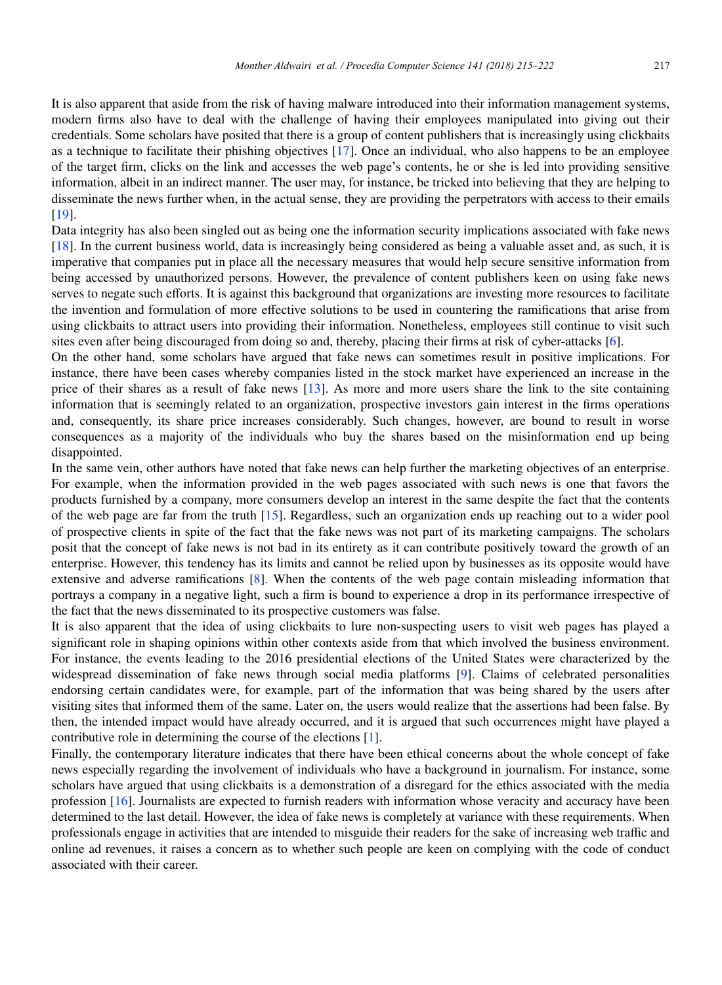It is also apparent that aside from the risk of having malware introduced into their information management systems, modern firms also have to deal with the challenge of having their employees manipulated into giving out their credentials. Some scholars have posited that there is a group of content publishers that is increasingly using clickbaits as a technique to facilitate their phishing objectives [17]. Once an individual, who also happens to be an employee of the target firm, clicks on the link and accesses the web page's contents, he or she is led into providing sensitive information, albeit in an indirect manner. The user may, for instance, be tricked into believing that they are helping to disseminate the news further when, in the actual sense, they are providing the perpetrators with access to their emails [19].

Data integrity has also been singled out as being one the information security implications associated with fake news [18]. In the current business world, data is increasingly being considered as being a valuable asset and, as such, it is imperative that companies put in place all the necessary measures that would help secure sensitive information from being accessed by unauthorized persons. However, the prevalence of content publishers keen on using fake news serves to negate such efforts. It is against this background that organizations are investing more resources to facilitate the invention and formulation of more effective solutions to be used in countering the ramifications that arise from using clickbaits to attract users into providing their information. Nonetheless, employees still continue to visit such sites even after being discouraged from doing so and, thereby, placing their firms at risk of cyber-attacks [6].

On the other hand, some scholars have argued that fake news can sometimes result in positive implications. For instance, there have been cases whereby companies listed in the stock market have experienced an increase in the price of their shares as a result of fake news [13]. As more and more users share the link to the site containing information that is seemingly related to an organization, prospective investors gain interest in the firms operations and, consequently, its share price increases considerably. Such changes, however, are bound to result in worse consequences as a majority of the individuals who buy the shares based on the misinformation end up being disappointed.

In the same vein, other authors have noted that fake news can help further the marketing objectives of an enterprise. For example, when the information provided in the web pages associated with such news is one that favors the products furnished by a company, more consumers develop an interest in the same despite the fact that the contents of the web page are far from the truth [15]. Regardless, such an organization ends up reaching out to a wider pool of prospective clients in spite of the fact that the fake news was not part of its marketing campaigns. The scholars posit that the concept of fake news is not bad in its entirety as it can contribute positively toward the growth of an enterprise. However, this tendency has its limits and cannot be relied upon by businesses as its opposite would have extensive and adverse ramifications [8]. When the contents of the web page contain misleading information that portrays a company in a negative light, such a firm is bound to experience a drop in its performance irrespective of the fact that the news disseminated to its prospective customers was false.

It is also apparent that the idea of using clickbaits to lure non-suspecting users to visit web pages has played a significant role in shaping opinions within other contexts aside from that which involved the business environment. For instance, the events leading to the 2016 presidential elections of the United States were characterized by the widespread dissemination of fake news through social media platforms [9]. Claims of celebrated personalities endorsing certain candidates were, for example, part of the information that was being shared by the users after visiting sites that informed them of the same. Later on, the users would realize that the assertions had been false. By then, the intended impact would have already occurred, and it is argued that such occurrences might have played a contributive role in determining the course of the elections [1].

Finally, the contemporary literature indicates that there have been ethical concerns about the whole concept of fake news especially regarding the involvement of individuals who have a background in journalism. For instance, some scholars have argued that using clickbaits is a demonstration of a disregard for the ethics associated with the media profession [16]. Journalists are expected to furnish readers with information whose veracity and accuracy have been determined to the last detail. However, the idea of fake news is completely at variance with these requirements. When professionals engage in activities that are intended to misguide their readers for the sake of increasing web traffic and online ad revenues, it raises a concern as to whether such people are keen on complying with the code of conduct associated with their career.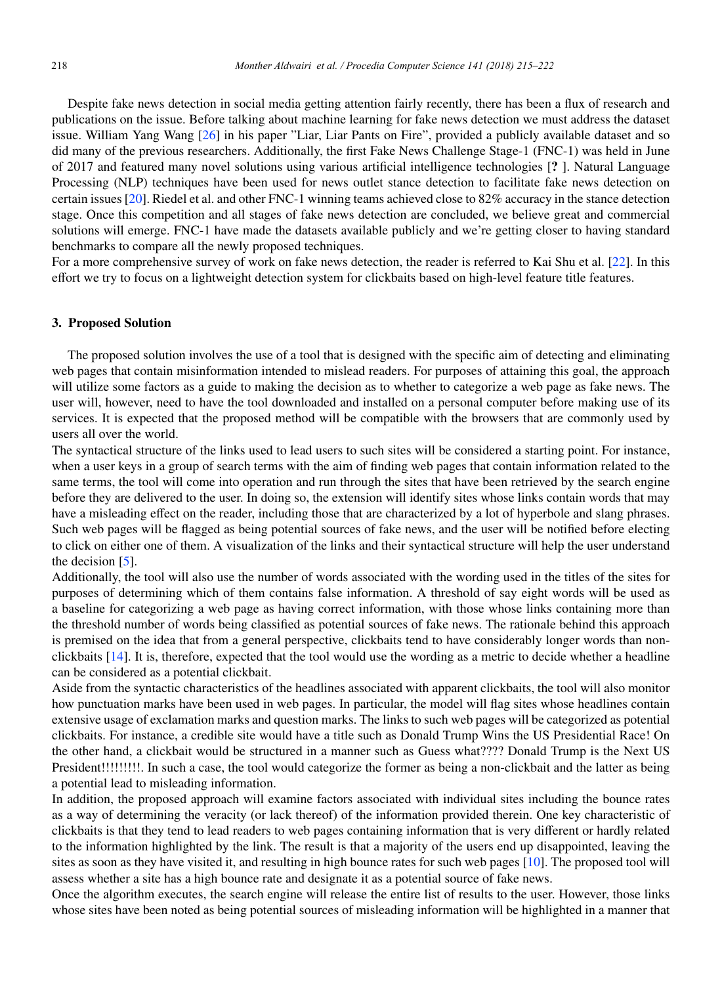Despite fake news detection in social media getting attention fairly recently, there has been a flux of research and publications on the issue. Before talking about machine learning for fake news detection we must address the dataset issue. William Yang Wang [26] in his paper "Liar, Liar Pants on Fire", provided a publicly available dataset and so did many of the previous researchers. Additionally, the first Fake News Challenge Stage-1 (FNC-1) was held in June of 2017 and featured many novel solutions using various artificial intelligence technologies [? ]. Natural Language Processing (NLP) techniques have been used for news outlet stance detection to facilitate fake news detection on certain issues [20]. Riedel et al. and other FNC-1 winning teams achieved close to 82% accuracy in the stance detection stage. Once this competition and all stages of fake news detection are concluded, we believe great and commercial solutions will emerge. FNC-1 have made the datasets available publicly and we're getting closer to having standard benchmarks to compare all the newly proposed techniques.

For a more comprehensive survey of work on fake news detection, the reader is referred to Kai Shu et al. [22]. In this effort we try to focus on a lightweight detection system for clickbaits based on high-level feature title features.

#### 3. Proposed Solution

The proposed solution involves the use of a tool that is designed with the specific aim of detecting and eliminating web pages that contain misinformation intended to mislead readers. For purposes of attaining this goal, the approach will utilize some factors as a guide to making the decision as to whether to categorize a web page as fake news. The user will, however, need to have the tool downloaded and installed on a personal computer before making use of its services. It is expected that the proposed method will be compatible with the browsers that are commonly used by users all over the world.

The syntactical structure of the links used to lead users to such sites will be considered a starting point. For instance, when a user keys in a group of search terms with the aim of finding web pages that contain information related to the same terms, the tool will come into operation and run through the sites that have been retrieved by the search engine before they are delivered to the user. In doing so, the extension will identify sites whose links contain words that may have a misleading effect on the reader, including those that are characterized by a lot of hyperbole and slang phrases. Such web pages will be flagged as being potential sources of fake news, and the user will be notified before electing to click on either one of them. A visualization of the links and their syntactical structure will help the user understand the decision [5].

Additionally, the tool will also use the number of words associated with the wording used in the titles of the sites for purposes of determining which of them contains false information. A threshold of say eight words will be used as a baseline for categorizing a web page as having correct information, with those whose links containing more than the threshold number of words being classified as potential sources of fake news. The rationale behind this approach is premised on the idea that from a general perspective, clickbaits tend to have considerably longer words than nonclickbaits [14]. It is, therefore, expected that the tool would use the wording as a metric to decide whether a headline can be considered as a potential clickbait.

Aside from the syntactic characteristics of the headlines associated with apparent clickbaits, the tool will also monitor how punctuation marks have been used in web pages. In particular, the model will flag sites whose headlines contain extensive usage of exclamation marks and question marks. The links to such web pages will be categorized as potential clickbaits. For instance, a credible site would have a title such as Donald Trump Wins the US Presidential Race! On the other hand, a clickbait would be structured in a manner such as Guess what???? Donald Trump is the Next US President!!!!!!!!!. In such a case, the tool would categorize the former as being a non-clickbait and the latter as being a potential lead to misleading information.

In addition, the proposed approach will examine factors associated with individual sites including the bounce rates as a way of determining the veracity (or lack thereof) of the information provided therein. One key characteristic of clickbaits is that they tend to lead readers to web pages containing information that is very different or hardly related to the information highlighted by the link. The result is that a majority of the users end up disappointed, leaving the sites as soon as they have visited it, and resulting in high bounce rates for such web pages [10]. The proposed tool will assess whether a site has a high bounce rate and designate it as a potential source of fake news.

Once the algorithm executes, the search engine will release the entire list of results to the user. However, those links whose sites have been noted as being potential sources of misleading information will be highlighted in a manner that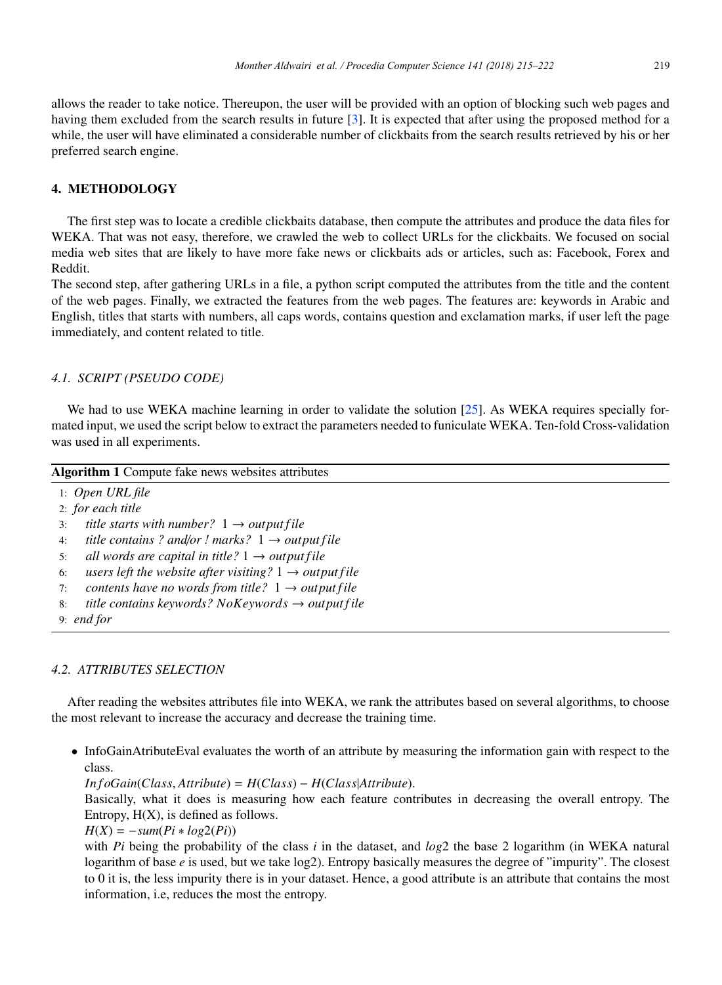allows the reader to take notice. Thereupon, the user will be provided with an option of blocking such web pages and having them excluded from the search results in future [3]. It is expected that after using the proposed method for a while, the user will have eliminated a considerable number of clickbaits from the search results retrieved by his or her preferred search engine.

### 4. METHODOLOGY

The first step was to locate a credible clickbaits database, then compute the attributes and produce the data files for WEKA. That was not easy, therefore, we crawled the web to collect URLs for the clickbaits. We focused on social media web sites that are likely to have more fake news or clickbaits ads or articles, such as: Facebook, Forex and Reddit.

The second step, after gathering URLs in a file, a python script computed the attributes from the title and the content of the web pages. Finally, we extracted the features from the web pages. The features are: keywords in Arabic and English, titles that starts with numbers, all caps words, contains question and exclamation marks, if user left the page immediately, and content related to title.

#### *4.1. SCRIPT (PSEUDO CODE)*

We had to use WEKA machine learning in order to validate the solution [25]. As WEKA requires specially formated input, we used the script below to extract the parameters needed to funiculate WEKA. Ten-fold Cross-validation was used in all experiments.

| Algorithm 1 Compute fake news websites attributes                        |
|--------------------------------------------------------------------------|
| 1: Open URL file                                                         |
| 2: for each title                                                        |
| title starts with number? $1 \rightarrow$ output file<br>3:              |
| title contains ? and/or ! marks? $1 \rightarrow$ output file<br>4:       |
| all words are capital in title? $1 \rightarrow output file$<br>5:        |
| users left the website after visiting? $1 \rightarrow output file$<br>6: |
| contents have no words from title? $1 \rightarrow output file$<br>7:     |
| title contains keywords? NoKeywords $\rightarrow$ output file<br>8:      |
| 9: end for                                                               |
|                                                                          |

#### *4.2. ATTRIBUTES SELECTION*

After reading the websites attributes file into WEKA, we rank the attributes based on several algorithms, to choose the most relevant to increase the accuracy and decrease the training time.

• InfoGainAtributeEval evaluates the worth of an attribute by measuring the information gain with respect to the class.

*In f oGain*(*Class*, *Attribute*) = *H*(*Class*) − *H*(*Class*|*Attribute*).

Basically, what it does is measuring how each feature contributes in decreasing the overall entropy. The Entropy,  $H(X)$ , is defined as follows.

 $H(X) = -sum(Pi * log2(Pi))$ 

with *Pi* being the probability of the class *i* in the dataset, and *log*2 the base 2 logarithm (in WEKA natural logarithm of base  $e$  is used, but we take  $log2$ ). Entropy basically measures the degree of "impurity". The closest to 0 it is, the less impurity there is in your dataset. Hence, a good attribute is an attribute that contains the most information, i.e, reduces the most the entropy.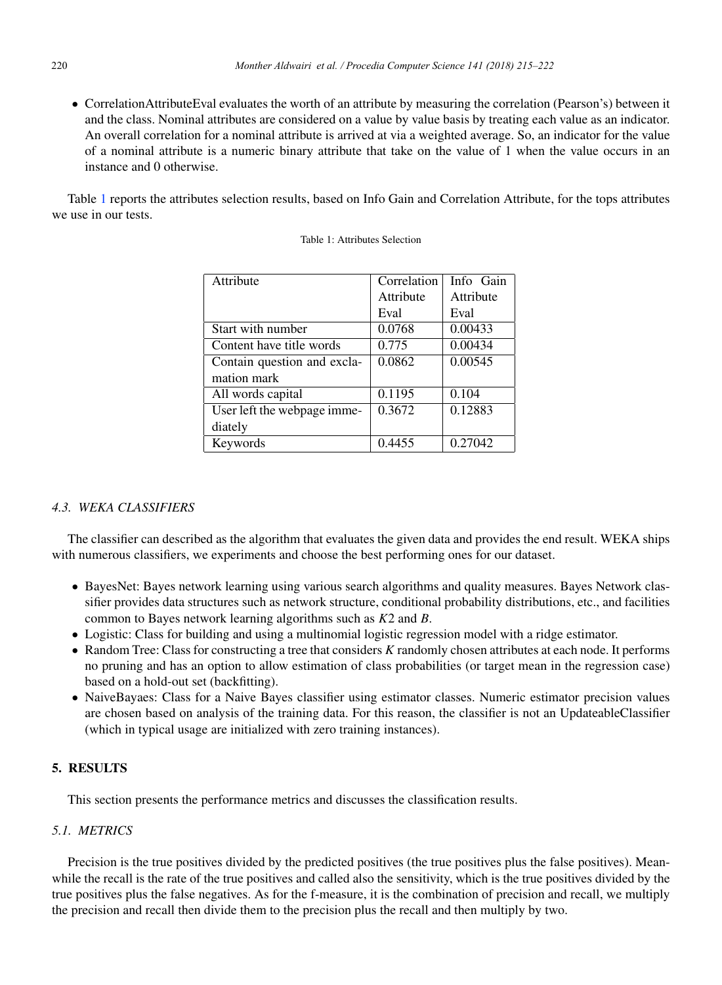• CorrelationAttributeEval evaluates the worth of an attribute by measuring the correlation (Pearson's) between it and the class. Nominal attributes are considered on a value by value basis by treating each value as an indicator. An overall correlation for a nominal attribute is arrived at via a weighted average. So, an indicator for the value of a nominal attribute is a numeric binary attribute that take on the value of 1 when the value occurs in an instance and 0 otherwise.

Table 1 reports the attributes selection results, based on Info Gain and Correlation Attribute, for the tops attributes we use in our tests.

| Attribute                   | Correlation | Info Gain |  |
|-----------------------------|-------------|-----------|--|
|                             | Attribute   | Attribute |  |
|                             | Eval        | Eval      |  |
| Start with number           | 0.0768      | 0.00433   |  |
| Content have title words    | 0.775       | 0.00434   |  |
| Contain question and excla- | 0.0862      | 0.00545   |  |
| mation mark                 |             |           |  |
| All words capital           | 0.1195      | 0.104     |  |
| User left the webpage imme- | 0.3672      | 0.12883   |  |
| diately                     |             |           |  |
| Keywords                    | 0.4455      | 0.27042   |  |

#### Table 1: Attributes Selection

#### *4.3. WEKA CLASSIFIERS*

The classifier can described as the algorithm that evaluates the given data and provides the end result. WEKA ships with numerous classifiers, we experiments and choose the best performing ones for our dataset.

- BayesNet: Bayes network learning using various search algorithms and quality measures. Bayes Network classifier provides data structures such as network structure, conditional probability distributions, etc., and facilities common to Bayes network learning algorithms such as *K*2 and *B*.
- Logistic: Class for building and using a multinomial logistic regression model with a ridge estimator.
- Random Tree: Class for constructing a tree that considers *K* randomly chosen attributes at each node. It performs no pruning and has an option to allow estimation of class probabilities (or target mean in the regression case) based on a hold-out set (backfitting).
- NaiveBayaes: Class for a Naive Bayes classifier using estimator classes. Numeric estimator precision values are chosen based on analysis of the training data. For this reason, the classifier is not an UpdateableClassifier (which in typical usage are initialized with zero training instances).

#### 5. RESULTS

This section presents the performance metrics and discusses the classification results.

#### *5.1. METRICS*

Precision is the true positives divided by the predicted positives (the true positives plus the false positives). Meanwhile the recall is the rate of the true positives and called also the sensitivity, which is the true positives divided by the true positives plus the false negatives. As for the f-measure, it is the combination of precision and recall, we multiply the precision and recall then divide them to the precision plus the recall and then multiply by two.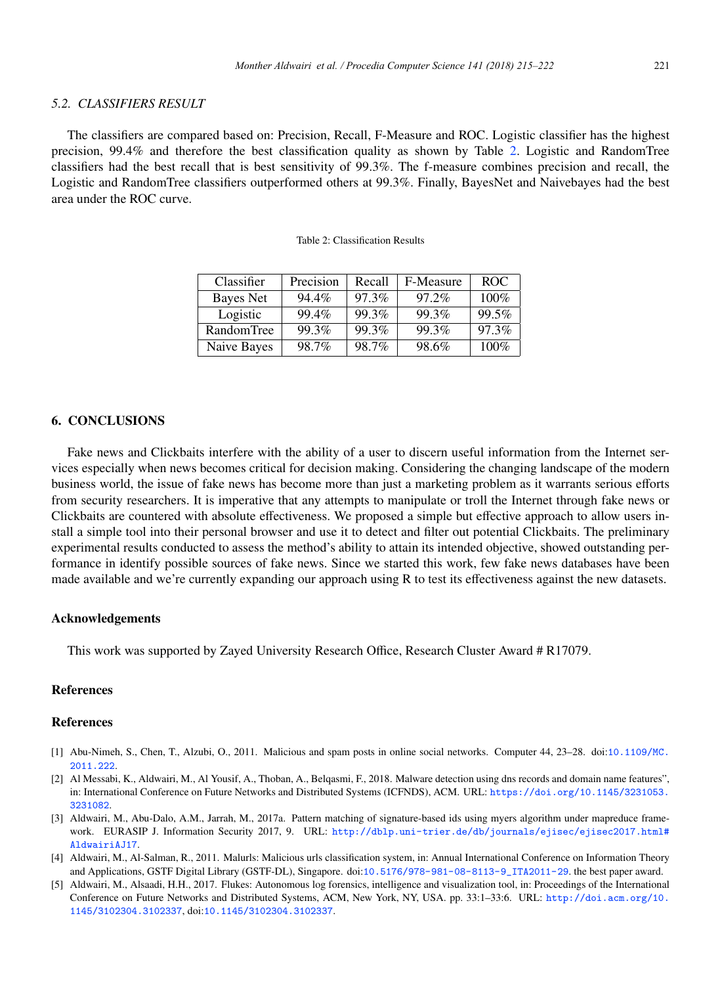#### *5.2. CLASSIFIERS RESULT*

The classifiers are compared based on: Precision, Recall, F-Measure and ROC. Logistic classifier has the highest precision, 99.4% and therefore the best classification quality as shown by Table 2. Logistic and RandomTree classifiers had the best recall that is best sensitivity of 99.3%. The f-measure combines precision and recall, the Logistic and RandomTree classifiers outperformed others at 99.3%. Finally, BayesNet and Naivebayes had the best area under the ROC curve.

| Classifier  | Precision | Recall | F-Measure | ROC.    |
|-------------|-----------|--------|-----------|---------|
| Bayes Net   | 94.4%     | 97.3%  | $97.2\%$  | $100\%$ |
| Logistic    | 99.4%     | 99.3%  | 99.3%     | 99.5%   |
| RandomTree  | 99.3%     | 99.3%  | 99.3%     | 97.3%   |
| Naive Bayes | 98.7%     | 98.7%  | 98.6%     | $100\%$ |

Table 2: Classification Results

#### 6. CONCLUSIONS

Fake news and Clickbaits interfere with the ability of a user to discern useful information from the Internet services especially when news becomes critical for decision making. Considering the changing landscape of the modern business world, the issue of fake news has become more than just a marketing problem as it warrants serious efforts from security researchers. It is imperative that any attempts to manipulate or troll the Internet through fake news or Clickbaits are countered with absolute effectiveness. We proposed a simple but effective approach to allow users install a simple tool into their personal browser and use it to detect and filter out potential Clickbaits. The preliminary experimental results conducted to assess the method's ability to attain its intended objective, showed outstanding performance in identify possible sources of fake news. Since we started this work, few fake news databases have been made available and we're currently expanding our approach using R to test its effectiveness against the new datasets.

#### Acknowledgements

This work was supported by Zayed University Research Office, Research Cluster Award # R17079.

#### References

#### References

- [1] Abu-Nimeh, S., Chen, T., Alzubi, O., 2011. Malicious and spam posts in online social networks. Computer 44, 23–28. doi:10.1109/MC. 2011.222.
- [2] Al Messabi, K., Aldwairi, M., Al Yousif, A., Thoban, A., Belqasmi, F., 2018. Malware detection using dns records and domain name features", in: International Conference on Future Networks and Distributed Systems (ICFNDS), ACM. URL: https://doi.org/10.1145/3231053. 3231082.
- [3] Aldwairi, M., Abu-Dalo, A.M., Jarrah, M., 2017a. Pattern matching of signature-based ids using myers algorithm under mapreduce framework. EURASIP J. Information Security 2017, 9. URL: http://dblp.uni-trier.de/db/journals/ejisec/ejisec2017.html# AldwairiAJ17.
- [4] Aldwairi, M., Al-Salman, R., 2011. Malurls: Malicious urls classification system, in: Annual International Conference on Information Theory and Applications, GSTF Digital Library (GSTF-DL), Singapore. doi:10.5176/978-981-08-8113-9\_ITA2011-29. the best paper award.
- [5] Aldwairi, M., Alsaadi, H.H., 2017. Flukes: Autonomous log forensics, intelligence and visualization tool, in: Proceedings of the International Conference on Future Networks and Distributed Systems, ACM, New York, NY, USA. pp. 33:1–33:6. URL: http://doi.acm.org/10. 1145/3102304.3102337, doi:10.1145/3102304.3102337.